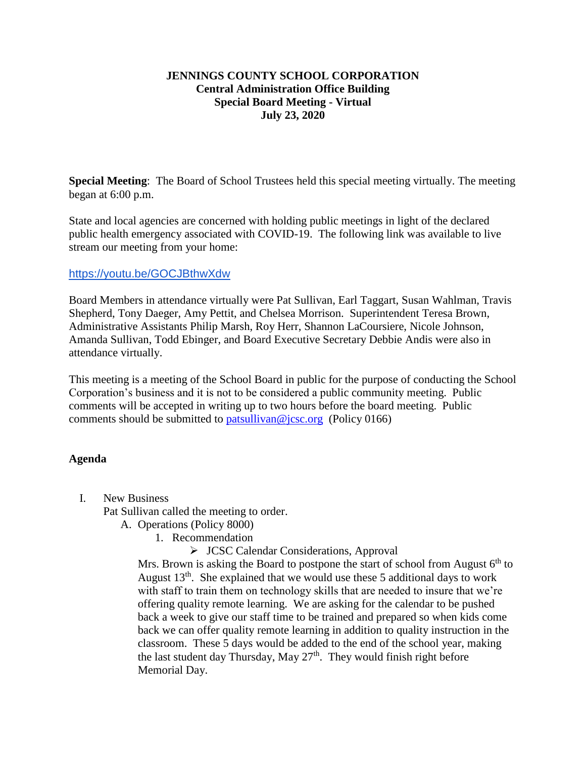## **JENNINGS COUNTY SCHOOL CORPORATION Central Administration Office Building Special Board Meeting - Virtual July 23, 2020**

**Special Meeting**: The Board of School Trustees held this special meeting virtually. The meeting began at 6:00 p.m.

State and local agencies are concerned with holding public meetings in light of the declared public health emergency associated with COVID-19. The following link was available to live stream our meeting from your home:

## <https://youtu.be/GOCJBthwXdw>

Board Members in attendance virtually were Pat Sullivan, Earl Taggart, Susan Wahlman, Travis Shepherd, Tony Daeger, Amy Pettit, and Chelsea Morrison. Superintendent Teresa Brown, Administrative Assistants Philip Marsh, Roy Herr, Shannon LaCoursiere, Nicole Johnson, Amanda Sullivan, Todd Ebinger, and Board Executive Secretary Debbie Andis were also in attendance virtually.

This meeting is a meeting of the School Board in public for the purpose of conducting the School Corporation's business and it is not to be considered a public community meeting. Public comments will be accepted in writing up to two hours before the board meeting. Public comments should be submitted to [patsullivan@jcsc.org](mailto:patsullivan@jcsc.org) (Policy 0166)

## **Agenda**

I. New Business

Pat Sullivan called the meeting to order.

- A. Operations (Policy 8000)
	- 1. Recommendation
		- JCSC Calendar Considerations, Approval

Mrs. Brown is asking the Board to postpone the start of school from August  $6<sup>th</sup>$  to August  $13<sup>th</sup>$ . She explained that we would use these 5 additional days to work with staff to train them on technology skills that are needed to insure that we're offering quality remote learning. We are asking for the calendar to be pushed back a week to give our staff time to be trained and prepared so when kids come back we can offer quality remote learning in addition to quality instruction in the classroom. These 5 days would be added to the end of the school year, making the last student day Thursday, May 27<sup>th</sup>. They would finish right before Memorial Day.